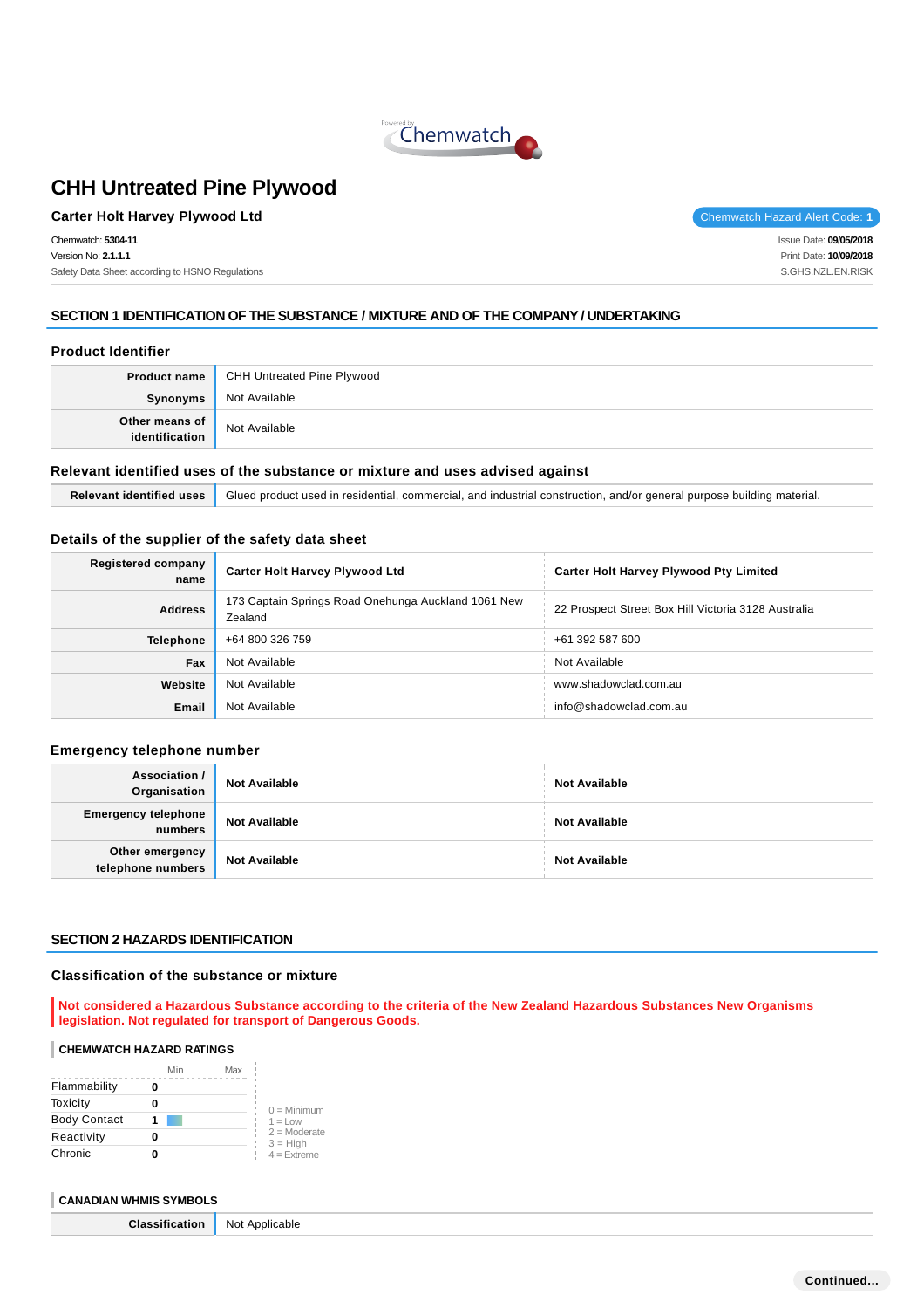

# **Carter Holt Harvey Plywood Ltd** Chemwatch Hazard Alert Code: 1

Chemwatch: **5304-11** Version No: **2.1.1.1** Safety Data Sheet according to HSNO Regulations

Issue Date: **09/05/2018** Print Date: **10/09/2018** S.GHS.NZL.EN.RISK

# **SECTION 1 IDENTIFICATION OF THE SUBSTANCE / MIXTURE AND OF THE COMPANY / UNDERTAKING**

### **Product Identifier**

|                              | <b>Product name</b> CHH Untreated Pine Plywood |
|------------------------------|------------------------------------------------|
| Synonyms                     | Not Available                                  |
| Other means of dentification | Not Available                                  |

### **Relevant identified uses of the substance or mixture and uses advised against**

**Relevant identified uses** Glued product used in residential, commercial, and industrial construction, and/or general purpose building material.

### **Details of the supplier of the safety data sheet**

| <b>Registered company</b><br>name | <b>Carter Holt Harvey Plywood Ltd</b>                          | <b>Carter Holt Harvey Plywood Pty Limited</b>       |  |
|-----------------------------------|----------------------------------------------------------------|-----------------------------------------------------|--|
| <b>Address</b>                    | 173 Captain Springs Road Onehunga Auckland 1061 New<br>Zealand | 22 Prospect Street Box Hill Victoria 3128 Australia |  |
| <b>Telephone</b>                  | +64 800 326 759                                                | +61 392 587 600                                     |  |
| Fax                               | Not Available                                                  | Not Available                                       |  |
| Website                           | Not Available                                                  | www.shadowclad.com.au                               |  |
| Email                             | Not Available                                                  | info@shadowclad.com.au                              |  |

### **Emergency telephone number**

| Association /<br>Organisation         | <b>Not Available</b> | <b>Not Available</b> |
|---------------------------------------|----------------------|----------------------|
| <b>Emergency telephone</b><br>numbers | <b>Not Available</b> | <b>Not Available</b> |
| Other emergency<br>telephone numbers  | <b>Not Available</b> | <b>Not Available</b> |

### **SECTION 2 HAZARDS IDENTIFICATION**

### **Classification of the substance or mixture**

**Not considered a Hazardous Substance according to the criteria of the New Zealand Hazardous Substances New Organisms legislation. Not regulated for transport of Dangerous Goods.**

### **CHEMWATCH HAZARD RATINGS**

|                     | Min | Max |                              |
|---------------------|-----|-----|------------------------------|
| Flammability        |     |     |                              |
| Toxicity            |     |     | $0 =$ Minimum                |
| <b>Body Contact</b> |     |     | $1 = Low$                    |
| Reactivity          |     |     | $2 =$ Moderate<br>$3 = High$ |
| Chronic             |     |     | $4 =$ Extreme                |

### **CANADIAN WHMIS SYMBOLS**

**Classification** Not Applicable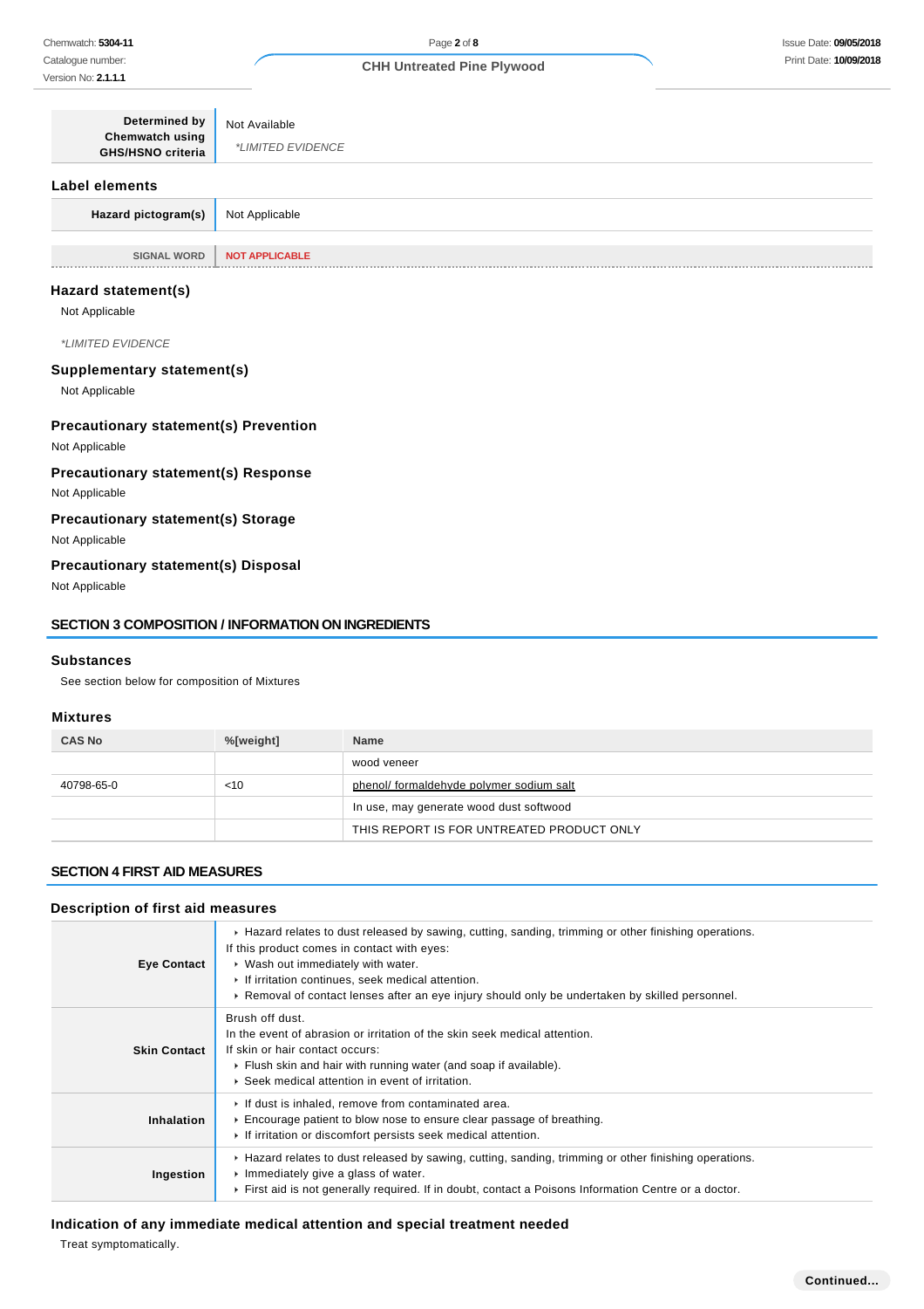| <b>Determined by</b><br>Chemwatch using<br><b>GHS/HSNO criteria</b> | Not Available<br><i>*LIMITED EVIDENCE</i> |
|---------------------------------------------------------------------|-------------------------------------------|
| Label elements                                                      |                                           |
| Hazard pictogram(s)                                                 | Not Applicable                            |
| <b>SIGNAL WORD</b><br>.                                             | <b>NOT APPLICABLE</b>                     |

### **Hazard statement(s)**

Not Applicable

\*LIMITED EVIDENCE

### **Supplementary statement(s)**

Not Applicable

## **Precautionary statement(s) Prevention**

Not Applicable

# **Precautionary statement(s) Response**

Not Applicable

# **Precautionary statement(s) Storage**

Not Applicable

# **Precautionary statement(s) Disposal**

Not Applicable

### **SECTION 3 COMPOSITION / INFORMATION ON INGREDIENTS**

#### **Substances**

See section below for composition of Mixtures

### **Mixtures**

| <b>CAS No</b> | %[weight] | <b>Name</b>                               |  |
|---------------|-----------|-------------------------------------------|--|
|               |           | wood veneer                               |  |
| 40798-65-0    | < 10      | phenol/ formaldehyde polymer sodium salt  |  |
|               |           | In use, may generate wood dust softwood   |  |
|               |           | THIS REPORT IS FOR UNTREATED PRODUCT ONLY |  |

#### **SECTION 4 FIRST AID MEASURES**

# **Description of first aid measures**

| <b>Eye Contact</b>  | ► Hazard relates to dust released by sawing, cutting, sanding, trimming or other finishing operations.<br>If this product comes in contact with eyes:<br>• Wash out immediately with water.<br>If irritation continues, seek medical attention.<br>► Removal of contact lenses after an eye injury should only be undertaken by skilled personnel. |
|---------------------|----------------------------------------------------------------------------------------------------------------------------------------------------------------------------------------------------------------------------------------------------------------------------------------------------------------------------------------------------|
| <b>Skin Contact</b> | Brush off dust.<br>In the event of abrasion or irritation of the skin seek medical attention.<br>If skin or hair contact occurs:<br>• Flush skin and hair with running water (and soap if available).<br>▶ Seek medical attention in event of irritation.                                                                                          |
| Inhalation          | If dust is inhaled, remove from contaminated area.<br>Encourage patient to blow nose to ensure clear passage of breathing.<br>If irritation or discomfort persists seek medical attention.                                                                                                                                                         |
| Ingestion           | ► Hazard relates to dust released by sawing, cutting, sanding, trimming or other finishing operations.<br>Immediately give a glass of water.<br>First aid is not generally required. If in doubt, contact a Poisons Information Centre or a doctor.                                                                                                |

# **Indication of any immediate medical attention and special treatment needed**

Treat symptomatically.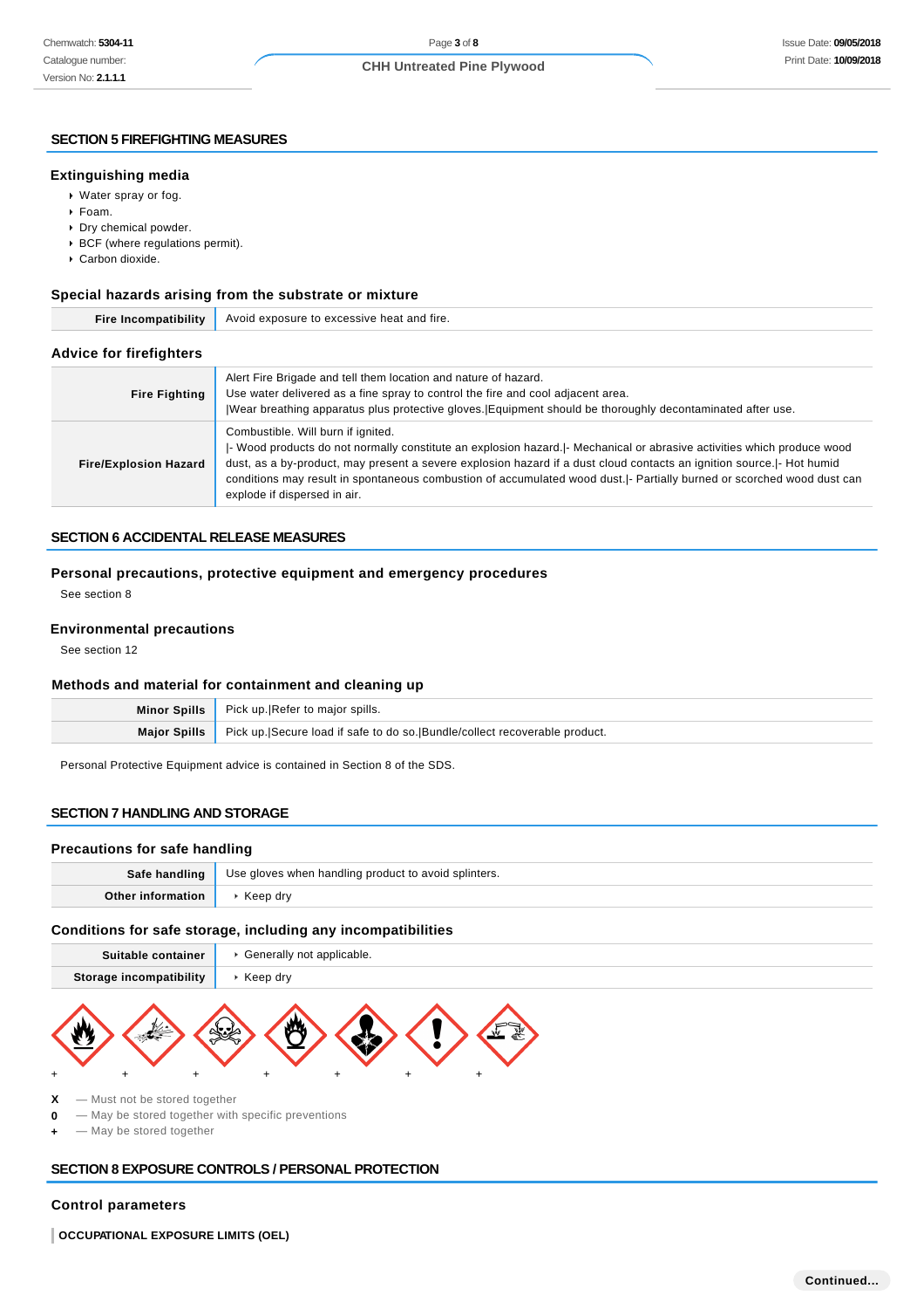#### **SECTION 5 FIREFIGHTING MEASURES**

#### **Extinguishing media**

- Water spray or fog.
- Foam.
- Dry chemical powder.
- BCF (where regulations permit).
- Carbon dioxide.

### **Special hazards arising from the substrate or mixture**

| Fire Incompatibility           | Avoid exposure to excessive heat and fire.                                                                                                                                                                                                                                                                                                                                                                                                         |  |  |  |
|--------------------------------|----------------------------------------------------------------------------------------------------------------------------------------------------------------------------------------------------------------------------------------------------------------------------------------------------------------------------------------------------------------------------------------------------------------------------------------------------|--|--|--|
| <b>Advice for firefighters</b> |                                                                                                                                                                                                                                                                                                                                                                                                                                                    |  |  |  |
| <b>Fire Fighting</b>           | Alert Fire Brigade and tell them location and nature of hazard.<br>Use water delivered as a fine spray to control the fire and cool adjacent area.<br>Wear breathing apparatus plus protective gloves. Equipment should be thoroughly decontaminated after use.                                                                                                                                                                                    |  |  |  |
| <b>Fire/Explosion Hazard</b>   | Combustible. Will burn if ignited.<br> - Wood products do not normally constitute an explosion hazard. - Mechanical or abrasive activities which produce wood<br>dust, as a by-product, may present a severe explosion hazard if a dust cloud contacts an ignition source.  - Hot humid<br>conditions may result in spontaneous combustion of accumulated wood dust.  - Partially burned or scorched wood dust can<br>explode if dispersed in air. |  |  |  |

## **SECTION 6 ACCIDENTAL RELEASE MEASURES**

# **Personal precautions, protective equipment and emergency procedures**

See section 8

### **Environmental precautions**

See section 12

### **Methods and material for containment and cleaning up**

|                     | Minor Spills   Pick up. Refer to major spills.                             |
|---------------------|----------------------------------------------------------------------------|
| <b>Maior Spills</b> | Pick up. Secure load if safe to do so. Bundle/collect recoverable product. |
|                     |                                                                            |

Personal Protective Equipment advice is contained in Section 8 of the SDS.

# **SECTION 7 HANDLING AND STORAGE**

### **Precautions for safe handling**

| Safe handling | Use gloves when handling product to avoid splinters. |  |
|---------------|------------------------------------------------------|--|
|               |                                                      |  |

### **Conditions for safe storage, including any incompatibilities**

| Suitable container      | Generally not applicable. |
|-------------------------|---------------------------|
| Storage incompatibility | Keep drv                  |
|                         |                           |



**X** — Must not be stored together

**0** — May be stored together with specific preventions

 $-$  May be stored together

# **SECTION 8 EXPOSURE CONTROLS / PERSONAL PROTECTION**

# **Control parameters**

**OCCUPATIONAL EXPOSURE LIMITS (OEL)**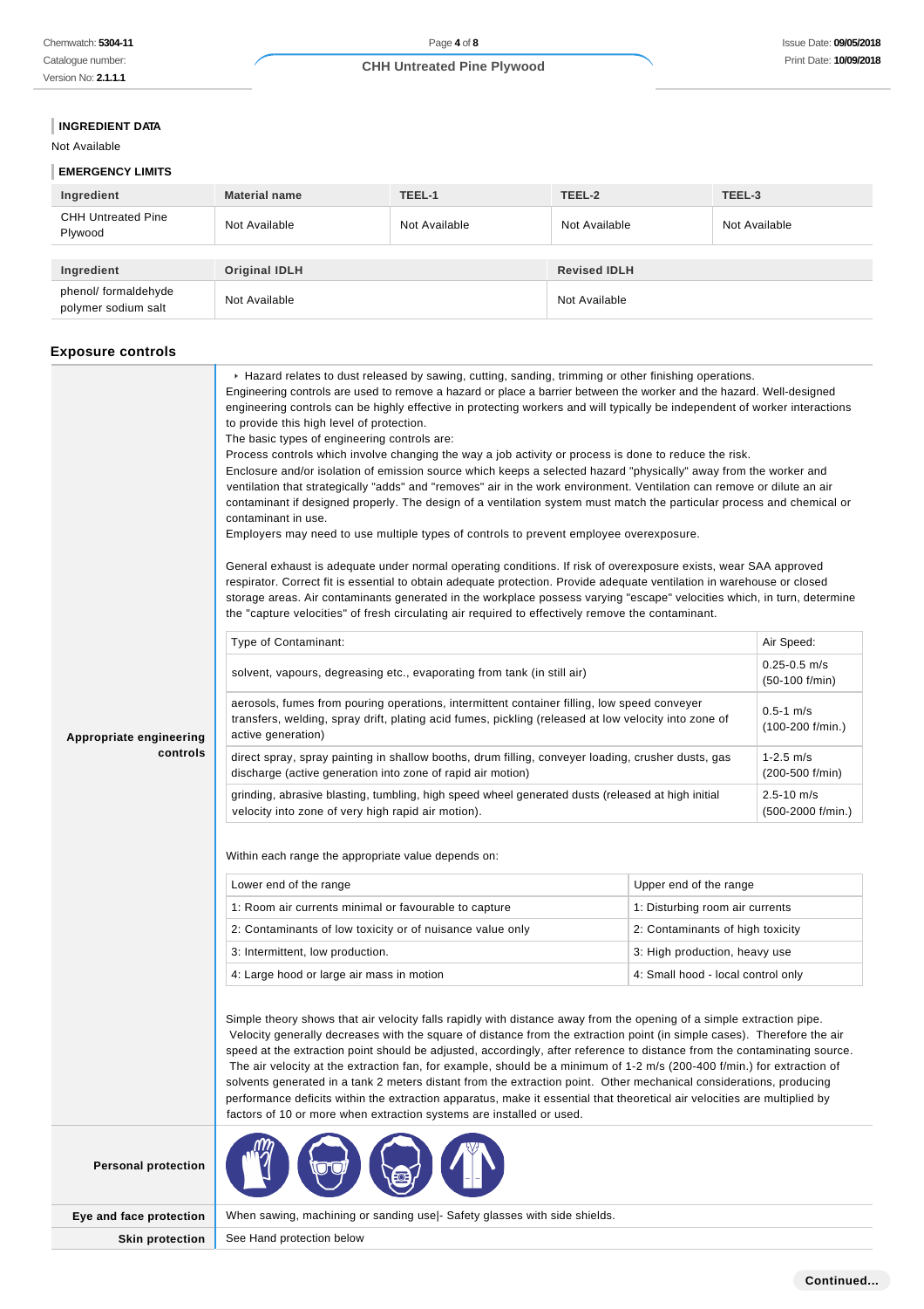# **INGREDIENT DATA**

```
Not Available
```
# **EMERGENCY LIMITS**

| Ingredient                                  | <b>Material name</b> | TEEL-1        | TEEL-2              | TEEL-3        |
|---------------------------------------------|----------------------|---------------|---------------------|---------------|
| <b>CHH Untreated Pine</b><br>Plywood        | Not Available        | Not Available | Not Available       | Not Available |
|                                             |                      |               |                     |               |
| Ingredient                                  | <b>Original IDLH</b> |               | <b>Revised IDLH</b> |               |
| phenol/ formaldehyde<br>polymer sodium salt | Not Available        |               | Not Available       |               |

# **Exposure controls**

|                            | Engineering controls are used to remove a hazard or place a barrier between the worker and the hazard. Well-designed<br>engineering controls can be highly effective in protecting workers and will typically be independent of worker interactions<br>to provide this high level of protection.<br>The basic types of engineering controls are:<br>Process controls which involve changing the way a job activity or process is done to reduce the risk.<br>Enclosure and/or isolation of emission source which keeps a selected hazard "physically" away from the worker and<br>ventilation that strategically "adds" and "removes" air in the work environment. Ventilation can remove or dilute an air<br>contaminant if designed properly. The design of a ventilation system must match the particular process and chemical or<br>contaminant in use.<br>Employers may need to use multiple types of controls to prevent employee overexposure.<br>General exhaust is adequate under normal operating conditions. If risk of overexposure exists, wear SAA approved<br>respirator. Correct fit is essential to obtain adequate protection. Provide adequate ventilation in warehouse or closed<br>storage areas. Air contaminants generated in the workplace possess varying "escape" velocities which, in turn, determine<br>the "capture velocities" of fresh circulating air required to effectively remove the contaminant.<br>Type of Contaminant:<br>Air Speed:<br>$0.25 - 0.5$ m/s<br>solvent, vapours, degreasing etc., evaporating from tank (in still air)<br>$(50-100 f/min)$<br>aerosols, fumes from pouring operations, intermittent container filling, low speed conveyer |                                    |                                     |
|----------------------------|-----------------------------------------------------------------------------------------------------------------------------------------------------------------------------------------------------------------------------------------------------------------------------------------------------------------------------------------------------------------------------------------------------------------------------------------------------------------------------------------------------------------------------------------------------------------------------------------------------------------------------------------------------------------------------------------------------------------------------------------------------------------------------------------------------------------------------------------------------------------------------------------------------------------------------------------------------------------------------------------------------------------------------------------------------------------------------------------------------------------------------------------------------------------------------------------------------------------------------------------------------------------------------------------------------------------------------------------------------------------------------------------------------------------------------------------------------------------------------------------------------------------------------------------------------------------------------------------------------------------------------------------------------------------------------------------------|------------------------------------|-------------------------------------|
| Appropriate engineering    | transfers, welding, spray drift, plating acid fumes, pickling (released at low velocity into zone of<br>active generation)                                                                                                                                                                                                                                                                                                                                                                                                                                                                                                                                                                                                                                                                                                                                                                                                                                                                                                                                                                                                                                                                                                                                                                                                                                                                                                                                                                                                                                                                                                                                                                    |                                    | $0.5 - 1$ m/s<br>$(100-200$ f/min.) |
| controls                   | direct spray, spray painting in shallow booths, drum filling, conveyer loading, crusher dusts, gas<br>discharge (active generation into zone of rapid air motion)                                                                                                                                                                                                                                                                                                                                                                                                                                                                                                                                                                                                                                                                                                                                                                                                                                                                                                                                                                                                                                                                                                                                                                                                                                                                                                                                                                                                                                                                                                                             |                                    | $1-2.5$ m/s<br>(200-500 f/min)      |
|                            | grinding, abrasive blasting, tumbling, high speed wheel generated dusts (released at high initial<br>velocity into zone of very high rapid air motion).                                                                                                                                                                                                                                                                                                                                                                                                                                                                                                                                                                                                                                                                                                                                                                                                                                                                                                                                                                                                                                                                                                                                                                                                                                                                                                                                                                                                                                                                                                                                       |                                    | 2.5-10 m/s<br>(500-2000 f/min.)     |
|                            | Within each range the appropriate value depends on:<br>Lower end of the range                                                                                                                                                                                                                                                                                                                                                                                                                                                                                                                                                                                                                                                                                                                                                                                                                                                                                                                                                                                                                                                                                                                                                                                                                                                                                                                                                                                                                                                                                                                                                                                                                 | Upper end of the range             |                                     |
|                            | 1: Room air currents minimal or favourable to capture                                                                                                                                                                                                                                                                                                                                                                                                                                                                                                                                                                                                                                                                                                                                                                                                                                                                                                                                                                                                                                                                                                                                                                                                                                                                                                                                                                                                                                                                                                                                                                                                                                         | 1: Disturbing room air currents    |                                     |
|                            | 2: Contaminants of low toxicity or of nuisance value only                                                                                                                                                                                                                                                                                                                                                                                                                                                                                                                                                                                                                                                                                                                                                                                                                                                                                                                                                                                                                                                                                                                                                                                                                                                                                                                                                                                                                                                                                                                                                                                                                                     | 2: Contaminants of high toxicity   |                                     |
|                            | 3: Intermittent, low production.                                                                                                                                                                                                                                                                                                                                                                                                                                                                                                                                                                                                                                                                                                                                                                                                                                                                                                                                                                                                                                                                                                                                                                                                                                                                                                                                                                                                                                                                                                                                                                                                                                                              | 3: High production, heavy use      |                                     |
|                            | 4: Large hood or large air mass in motion                                                                                                                                                                                                                                                                                                                                                                                                                                                                                                                                                                                                                                                                                                                                                                                                                                                                                                                                                                                                                                                                                                                                                                                                                                                                                                                                                                                                                                                                                                                                                                                                                                                     | 4: Small hood - local control only |                                     |
|                            | Simple theory shows that air velocity falls rapidly with distance away from the opening of a simple extraction pipe.<br>Velocity generally decreases with the square of distance from the extraction point (in simple cases). Therefore the air<br>speed at the extraction point should be adjusted, accordingly, after reference to distance from the contaminating source.<br>The air velocity at the extraction fan, for example, should be a minimum of 1-2 m/s (200-400 f/min.) for extraction of<br>solvents generated in a tank 2 meters distant from the extraction point. Other mechanical considerations, producing<br>performance deficits within the extraction apparatus, make it essential that theoretical air velocities are multiplied by<br>factors of 10 or more when extraction systems are installed or used.                                                                                                                                                                                                                                                                                                                                                                                                                                                                                                                                                                                                                                                                                                                                                                                                                                                            |                                    |                                     |
| <b>Personal protection</b> |                                                                                                                                                                                                                                                                                                                                                                                                                                                                                                                                                                                                                                                                                                                                                                                                                                                                                                                                                                                                                                                                                                                                                                                                                                                                                                                                                                                                                                                                                                                                                                                                                                                                                               |                                    |                                     |
| Eye and face protection    | When sawing, machining or sanding use - Safety glasses with side shields.                                                                                                                                                                                                                                                                                                                                                                                                                                                                                                                                                                                                                                                                                                                                                                                                                                                                                                                                                                                                                                                                                                                                                                                                                                                                                                                                                                                                                                                                                                                                                                                                                     |                                    |                                     |
| <b>Skin protection</b>     | See Hand protection below                                                                                                                                                                                                                                                                                                                                                                                                                                                                                                                                                                                                                                                                                                                                                                                                                                                                                                                                                                                                                                                                                                                                                                                                                                                                                                                                                                                                                                                                                                                                                                                                                                                                     |                                    |                                     |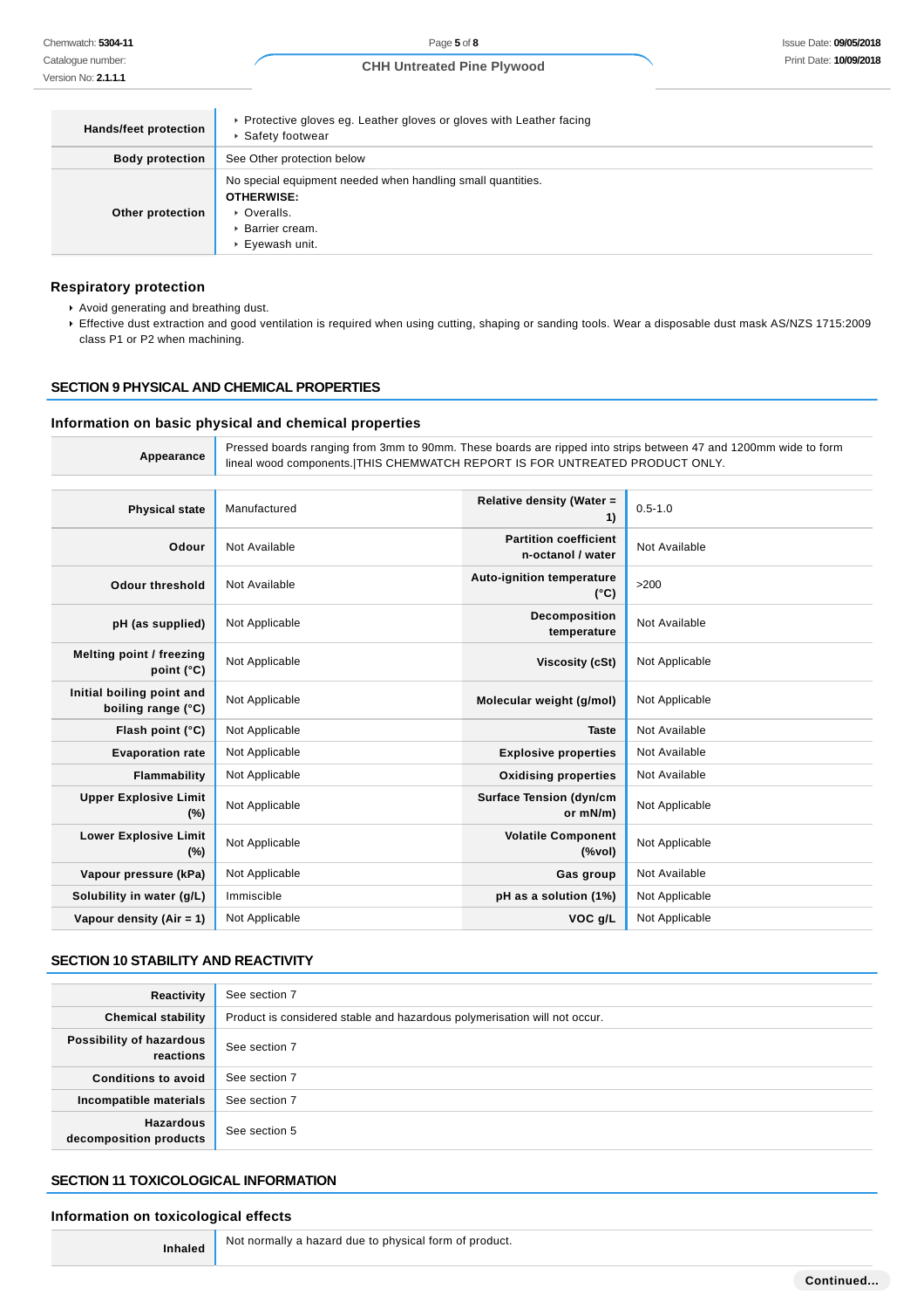Page **5** of **8**

# **CHH Untreated Pine Plywood**

| Hands/feet protection  | ▶ Protective gloves eg. Leather gloves or gloves with Leather facing<br>▶ Safety footwear                                              |
|------------------------|----------------------------------------------------------------------------------------------------------------------------------------|
| <b>Body protection</b> | See Other protection below                                                                                                             |
| Other protection       | No special equipment needed when handling small quantities.<br><b>OTHERWISE:</b><br>• Overalls.<br>▶ Barrier cream.<br>▶ Eyewash unit. |

### **Respiratory protection**

- Avoid generating and breathing dust.
- Effective dust extraction and good ventilation is required when using cutting, shaping or sanding tools. Wear a disposable dust mask AS/NZS 1715:2009 class P1 or P2 when machining.

# **SECTION 9 PHYSICAL AND CHEMICAL PROPERTIES**

### **Information on basic physical and chemical properties**

| Appearance                                      | Pressed boards ranging from 3mm to 90mm. These boards are ripped into strips between 47 and 1200mm wide to form<br>lineal wood components. THIS CHEMWATCH REPORT IS FOR UNTREATED PRODUCT ONLY. |                                                                                    |                |
|-------------------------------------------------|-------------------------------------------------------------------------------------------------------------------------------------------------------------------------------------------------|------------------------------------------------------------------------------------|----------------|
| <b>Physical state</b>                           | Manufactured                                                                                                                                                                                    | Relative density (Water =<br>1)                                                    | $0.5 - 1.0$    |
| Odour                                           | Not Available                                                                                                                                                                                   | <b>Partition coefficient</b><br>n-octanol / water                                  | Not Available  |
| <b>Odour threshold</b>                          | Not Available                                                                                                                                                                                   | <b>Auto-ignition temperature</b><br>$(^{\circ}C)$                                  | >200           |
| pH (as supplied)                                | Not Applicable                                                                                                                                                                                  | Decomposition<br>temperature                                                       | Not Available  |
| Melting point / freezing<br>point (°C)          | Not Applicable                                                                                                                                                                                  | Viscosity (cSt)                                                                    | Not Applicable |
| Initial boiling point and<br>boiling range (°C) | Not Applicable                                                                                                                                                                                  | Molecular weight (g/mol)                                                           | Not Applicable |
| Flash point (°C)                                | Not Applicable                                                                                                                                                                                  | <b>Taste</b>                                                                       | Not Available  |
| <b>Evaporation rate</b>                         | Not Applicable                                                                                                                                                                                  | <b>Explosive properties</b>                                                        | Not Available  |
| Flammability                                    | Not Applicable                                                                                                                                                                                  | <b>Oxidising properties</b>                                                        | Not Available  |
| <b>Upper Explosive Limit</b><br>(%)             | Not Applicable                                                                                                                                                                                  | <b>Surface Tension (dyn/cm</b><br>or mN/m)                                         | Not Applicable |
| <b>Lower Explosive Limit</b><br>(%)             | Not Applicable                                                                                                                                                                                  | <b>Volatile Component</b><br>$(% \mathcal{L}^{\prime }\cap \mathcal{L}^{\prime })$ | Not Applicable |
| Vapour pressure (kPa)                           | Not Applicable                                                                                                                                                                                  | Gas group                                                                          | Not Available  |
| Solubility in water (g/L)                       | Immiscible                                                                                                                                                                                      | pH as a solution (1%)                                                              | Not Applicable |
| Vapour density $(Air = 1)$                      | Not Applicable                                                                                                                                                                                  | VOC g/L                                                                            | Not Applicable |

## **SECTION 10 STABILITY AND REACTIVITY**

| Reactivity                            | See section 7                                                             |  |
|---------------------------------------|---------------------------------------------------------------------------|--|
| <b>Chemical stability</b>             | Product is considered stable and hazardous polymerisation will not occur. |  |
| Possibility of hazardous<br>reactions | See section 7                                                             |  |
| Conditions to avoid                   | See section 7                                                             |  |
| Incompatible materials                | See section 7                                                             |  |
| Hazardous<br>decomposition products   | See section 5                                                             |  |

### **SECTION 11 TOXICOLOGICAL INFORMATION**

#### **Information on toxicological effects**

**Inhaled** Not normally a hazard due to physical form of product.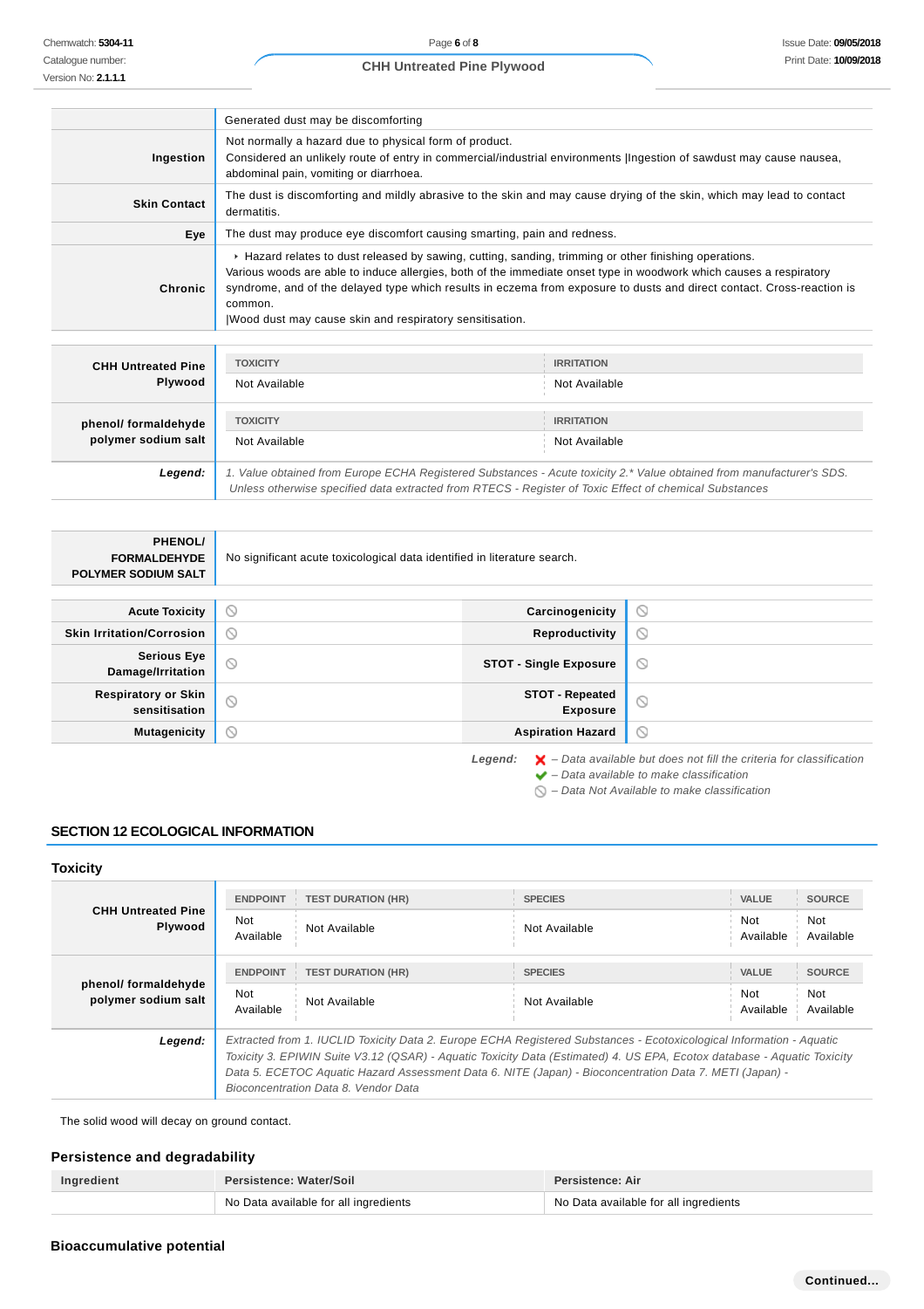Issue Date: **09/05/2018** Print Date: **10/09/2018**

Catalogue number: Version No: **2.1.1.1**

| Page 6 of 8                       |
|-----------------------------------|
| <b>CHH Untreated Pine Plywood</b> |

|                     | Generated dust may be discomforting                                                                                                                                                                                                                                                                                                                                                                                           |
|---------------------|-------------------------------------------------------------------------------------------------------------------------------------------------------------------------------------------------------------------------------------------------------------------------------------------------------------------------------------------------------------------------------------------------------------------------------|
| Ingestion           | Not normally a hazard due to physical form of product.<br>Considered an unlikely route of entry in commercial/industrial environments (Ingestion of sawdust may cause nausea,<br>abdominal pain, vomiting or diarrhoea.                                                                                                                                                                                                       |
| <b>Skin Contact</b> | The dust is discomforting and mildly abrasive to the skin and may cause drying of the skin, which may lead to contact<br>dermatitis.                                                                                                                                                                                                                                                                                          |
| Eye                 | The dust may produce eye discomfort causing smarting, pain and redness.                                                                                                                                                                                                                                                                                                                                                       |
| Chronic             | ► Hazard relates to dust released by sawing, cutting, sanding, trimming or other finishing operations.<br>Various woods are able to induce allergies, both of the immediate onset type in woodwork which causes a respiratory<br>syndrome, and of the delayed type which results in eczema from exposure to dusts and direct contact. Cross-reaction is<br>common.<br>Wood dust may cause skin and respiratory sensitisation. |

| <b>CHH Untreated Pine</b> | <b>TOXICITY</b>                                                                                                                                                                                                                 | <b>IRRITATION</b> |
|---------------------------|---------------------------------------------------------------------------------------------------------------------------------------------------------------------------------------------------------------------------------|-------------------|
| Plywood                   | Not Available                                                                                                                                                                                                                   | Not Available     |
| phenol/ formaldehyde      | <b>TOXICITY</b>                                                                                                                                                                                                                 | <b>IRRITATION</b> |
| polymer sodium salt       | Not Available                                                                                                                                                                                                                   | Not Available     |
| Legend:                   | 1. Value obtained from Europe ECHA Registered Substances - Acute toxicity 2.* Value obtained from manufacturer's SDS.<br>Unless otherwise specified data extracted from RTECS - Register of Toxic Effect of chemical Substances |                   |

| <b>PHENOL/</b><br><b>FORMALDEHYDE</b><br><b>POLYMER SODIUM SALT</b> | No significant acute toxicological data identified in literature search. |                                           |         |
|---------------------------------------------------------------------|--------------------------------------------------------------------------|-------------------------------------------|---------|
| <b>Acute Toxicity</b>                                               | $\odot$                                                                  | Carcinogenicity                           | $\odot$ |
| <b>Skin Irritation/Corrosion</b>                                    | $\circledcirc$                                                           | Reproductivity                            | $\odot$ |
| <b>Serious Eye</b><br>Damage/Irritation                             | $\circledcirc$                                                           | <b>STOT - Single Exposure</b>             | $\circ$ |
| <b>Respiratory or Skin</b><br>sensitisation                         | $\odot$                                                                  | <b>STOT - Repeated</b><br><b>Exposure</b> | $\circ$ |
| <b>Mutagenicity</b>                                                 | $\circledcirc$                                                           | <b>Aspiration Hazard</b>                  | $\odot$ |

Legend:  $\mathsf{X}$  - Data available but does not fill the criteria for classification  $\blacktriangleright$  – Data available to make classification

 $\bigcirc$  – Data Not Available to make classification

# **SECTION 12 ECOLOGICAL INFORMATION**

# **Toxicity**

| <b>CHH Untreated Pine</b><br>Plywood        | <b>ENDPOINT</b>  | <b>TEST DURATION (HR)</b>                                                                                                                                                                                                                                                                                                                                                                          | <b>SPECIES</b> | <b>VALUE</b>     | <b>SOURCE</b>    |
|---------------------------------------------|------------------|----------------------------------------------------------------------------------------------------------------------------------------------------------------------------------------------------------------------------------------------------------------------------------------------------------------------------------------------------------------------------------------------------|----------------|------------------|------------------|
|                                             | Not<br>Available | Not Available                                                                                                                                                                                                                                                                                                                                                                                      | Not Available  | Not<br>Available | Not<br>Available |
| phenol/ formaldehyde<br>polymer sodium salt | <b>ENDPOINT</b>  | <b>TEST DURATION (HR)</b>                                                                                                                                                                                                                                                                                                                                                                          | <b>SPECIES</b> | <b>VALUE</b>     | <b>SOURCE</b>    |
|                                             | Not<br>Available | Not Available                                                                                                                                                                                                                                                                                                                                                                                      | Not Available  | Not<br>Available | Not<br>Available |
| Legend:                                     |                  | Extracted from 1. IUCLID Toxicity Data 2. Europe ECHA Registered Substances - Ecotoxicological Information - Aquatic<br>Toxicity 3. EPIWIN Suite V3.12 (QSAR) - Aquatic Toxicity Data (Estimated) 4. US EPA, Ecotox database - Aquatic Toxicity<br>Data 5. ECETOC Aquatic Hazard Assessment Data 6. NITE (Japan) - Bioconcentration Data 7. METI (Japan) -<br>Bioconcentration Data 8. Vendor Data |                |                  |                  |

The solid wood will decay on ground contact.

Ш

# **Persistence and degradability**

| Ingredient | Persistence: Water/Soil               | Persistence: Air                      |  |
|------------|---------------------------------------|---------------------------------------|--|
|            | No Data available for all ingredients | No Data available for all ingredients |  |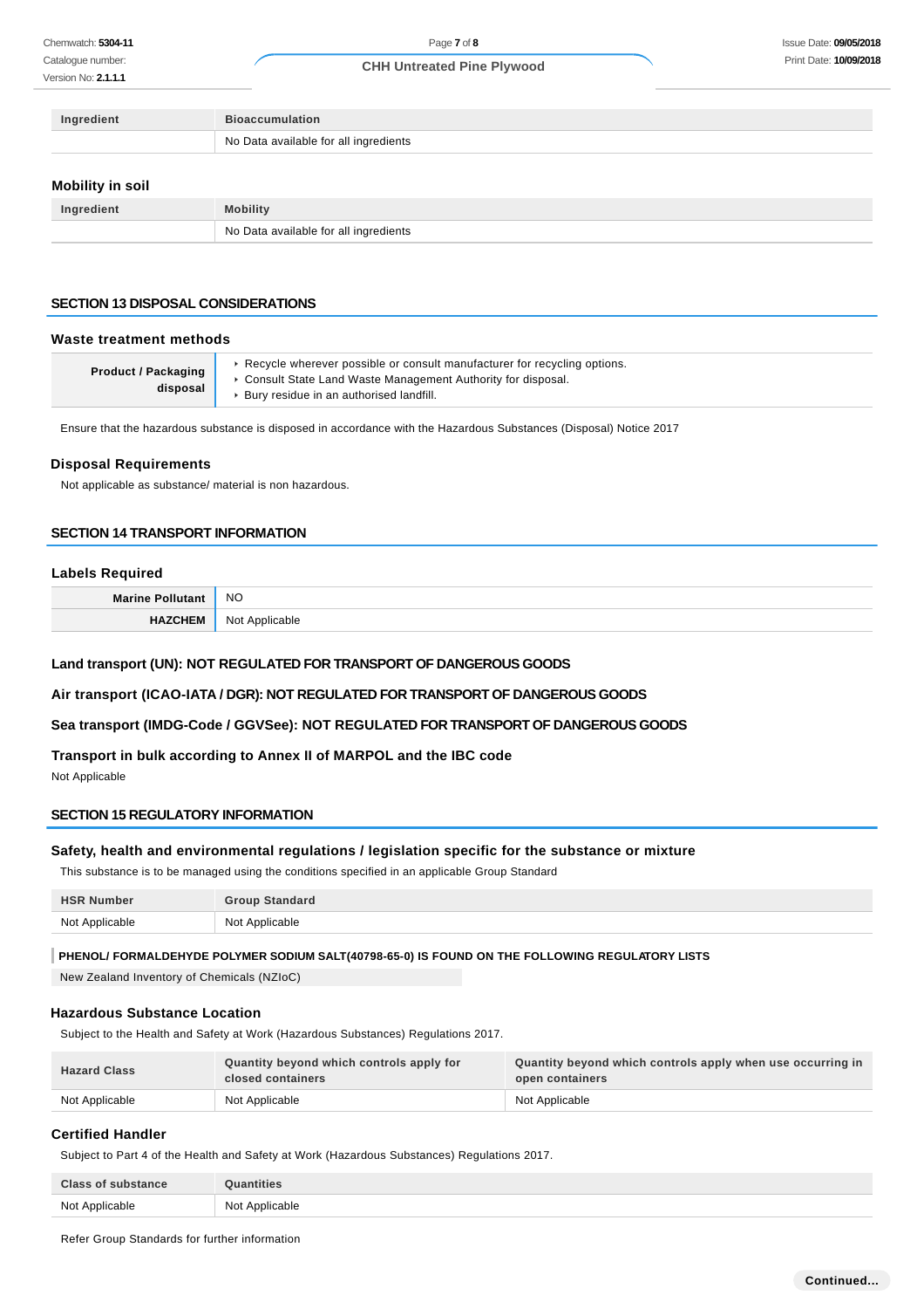Catalogue number: Version No: **2.1.1.1**

### **CHH Untreated Pine Plywood**

| Ingredient              | <b>Bioaccumulation</b>                |
|-------------------------|---------------------------------------|
|                         | No Data available for all ingredients |
|                         |                                       |
| <b>Mobility in soil</b> |                                       |
| Ingredient              | <b>Mobility</b>                       |

# **SECTION 13 DISPOSAL CONSIDERATIONS**

#### **Waste treatment methods**

| <b>Product / Packaging</b><br>disposal | ► Recycle wherever possible or consult manufacturer for recycling options.<br>• Consult State Land Waste Management Authority for disposal.<br>▶ Bury residue in an authorised landfill. |
|----------------------------------------|------------------------------------------------------------------------------------------------------------------------------------------------------------------------------------------|
|----------------------------------------|------------------------------------------------------------------------------------------------------------------------------------------------------------------------------------------|

Ensure that the hazardous substance is disposed in accordance with the Hazardous Substances (Disposal) Notice 2017

#### **Disposal Requirements**

Not applicable as substance/ material is non hazardous.

#### **SECTION 14 TRANSPORT INFORMATION**

#### **Labels Required**

| <b>Marine Pollutant</b> | <b>NO</b>      |
|-------------------------|----------------|
| ™GHEI‰                  | Not Applicable |

### **Land transport (UN): NOT REGULATED FOR TRANSPORT OF DANGEROUS GOODS**

No Data available for all ingredients

**Air transport (ICAO-IATA / DGR): NOT REGULATED FOR TRANSPORT OF DANGEROUS GOODS**

### **Sea transport (IMDG-Code / GGVSee): NOT REGULATED FOR TRANSPORT OF DANGEROUS GOODS**

# **Transport in bulk according to Annex II of MARPOL and the IBC code**

Not Applicable

### **SECTION 15 REGULATORY INFORMATION**

### **Safety, health and environmental regulations / legislation specific for the substance or mixture**

This substance is to be managed using the conditions specified in an applicable Group Standard

| <b>HSR Number</b> | <b>Group Standard</b> |
|-------------------|-----------------------|
| Not Applicable    | Not Applicable        |

### **PHENOL/ FORMALDEHYDE POLYMER SODIUM SALT(40798-65-0) IS FOUND ON THE FOLLOWING REGULATORY LISTS**

New Zealand Inventory of Chemicals (NZIoC)

# **Hazardous Substance Location**

Subject to the Health and Safety at Work (Hazardous Substances) Regulations 2017.

| <b>Hazard Class</b> | Quantity beyond which controls apply for<br>closed containers | Quantity beyond which controls apply when use occurring in<br>open containers |
|---------------------|---------------------------------------------------------------|-------------------------------------------------------------------------------|
| Not Applicable      | Not Applicable                                                | Not Applicable                                                                |

### **Certified Handler**

Subject to Part 4 of the Health and Safety at Work (Hazardous Substances) Regulations 2017.

| <b>Class of substance</b> | <b>Quantities</b> |
|---------------------------|-------------------|
| Not Applicable            | Not Applicable    |

Refer Group Standards for further information